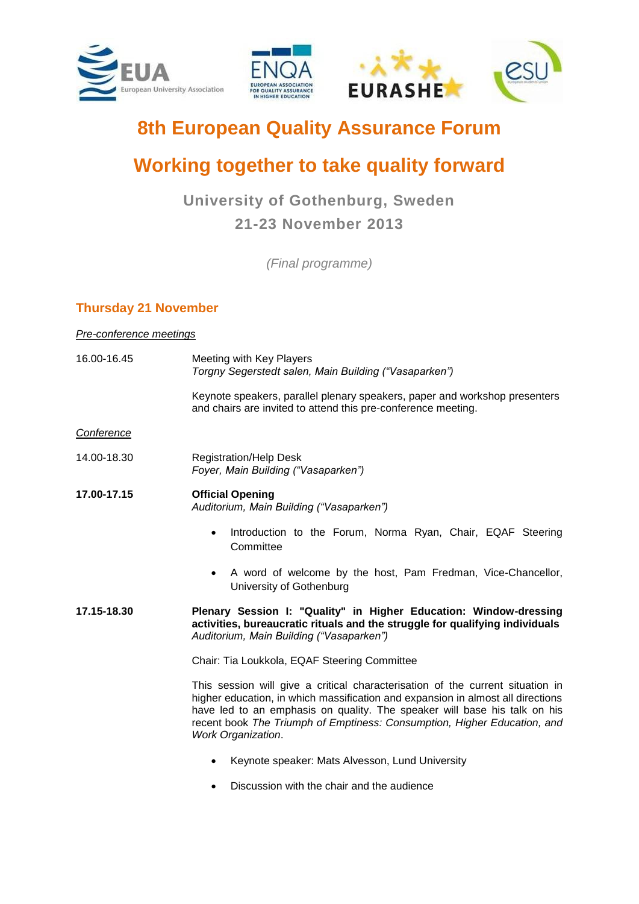

# **8th European Quality Assurance Forum**

## **Working together to take quality forward**

## **University of Gothenburg, Sweden 21-23 November 2013**

*(Final programme)*

### **Thursday 21 November**

#### *Pre-conference meetings*

| 16.00-16.45 | Meeting with Key Players<br>Torgny Segerstedt salen, Main Building ("Vasaparken")                                                                                                                                                                                                                                                                |
|-------------|--------------------------------------------------------------------------------------------------------------------------------------------------------------------------------------------------------------------------------------------------------------------------------------------------------------------------------------------------|
|             | Keynote speakers, parallel plenary speakers, paper and workshop presenters<br>and chairs are invited to attend this pre-conference meeting.                                                                                                                                                                                                      |
| Conference  |                                                                                                                                                                                                                                                                                                                                                  |
| 14.00-18.30 | <b>Registration/Help Desk</b><br>Foyer, Main Building ("Vasaparken")                                                                                                                                                                                                                                                                             |
| 17.00-17.15 | <b>Official Opening</b><br>Auditorium, Main Building ("Vasaparken")                                                                                                                                                                                                                                                                              |
|             | Introduction to the Forum, Norma Ryan, Chair, EQAF Steering<br>$\bullet$<br>Committee                                                                                                                                                                                                                                                            |
|             | A word of welcome by the host, Pam Fredman, Vice-Chancellor,<br>University of Gothenburg                                                                                                                                                                                                                                                         |
| 17.15-18.30 | Plenary Session I: "Quality" in Higher Education: Window-dressing<br>activities, bureaucratic rituals and the struggle for qualifying individuals<br>Auditorium, Main Building ("Vasaparken")                                                                                                                                                    |
|             | Chair: Tia Loukkola, EQAF Steering Committee                                                                                                                                                                                                                                                                                                     |
|             | This session will give a critical characterisation of the current situation in<br>higher education, in which massification and expansion in almost all directions<br>have led to an emphasis on quality. The speaker will base his talk on his<br>recent book The Triumph of Emptiness: Consumption, Higher Education, and<br>Work Organization. |
|             | Keynote speaker: Mats Alvesson, Lund University                                                                                                                                                                                                                                                                                                  |
|             | Discussion with the chair and the audience                                                                                                                                                                                                                                                                                                       |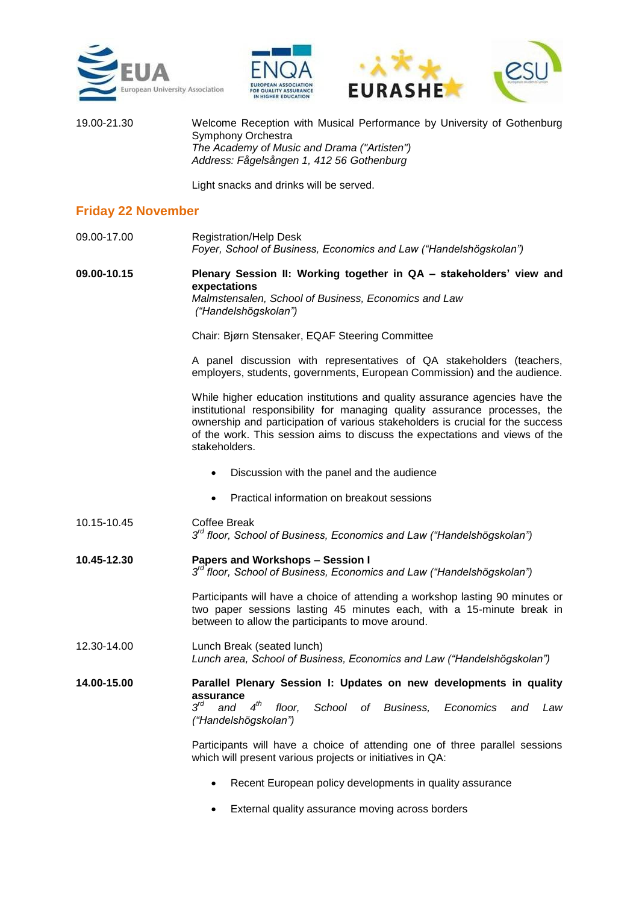





19.00-21.30 Welcome Reception with Musical Performance by University of Gothenburg Symphony Orchestra *The Academy of Music and Drama ("Artisten") Address: Fågelsången 1, 412 56 Gothenburg*

Light snacks and drinks will be served.

#### **Friday 22 November**

09.00-17.00 Registration/Help Desk *Foyer, School of Business, Economics and Law ("Handelshögskolan")*

**09.00-10.15 Plenary Session II: Working together in QA – stakeholders' view and expectations**  *Malmstensalen, School of Business, Economics and Law ("Handelshögskolan")*

Chair: Bjørn Stensaker, EQAF Steering Committee

A panel discussion with representatives of QA stakeholders (teachers, employers, students, governments, European Commission) and the audience.

While higher education institutions and quality assurance agencies have the institutional responsibility for managing quality assurance processes, the ownership and participation of various stakeholders is crucial for the success of the work. This session aims to discuss the expectations and views of the stakeholders.

- Discussion with the panel and the audience
- Practical information on breakout sessions
- 10.15-10.45 Coffee Break  $3<sup>rd</sup>$  *floor, School of Business, Economics and Law ("Handelshögskolan")*
- **10.45-12.30 Papers and Workshops – Session I** *3 rd floor, School of Business, Economics and Law ("Handelshögskolan")*

Participants will have a choice of attending a workshop lasting 90 minutes or two paper sessions lasting 45 minutes each, with a 15-minute break in between to allow the participants to move around.

12.30-14.00 Lunch Break (seated lunch) *Lunch area, School of Business, Economics and Law ("Handelshögskolan")*

**14.00-15.00 Parallel Plenary Session I: Updates on new developments in quality assurance** *3 rd and 4 th floor, School of Business, Economics and Law ("Handelshögskolan")*

> Participants will have a choice of attending one of three parallel sessions which will present various projects or initiatives in QA:

- Recent European policy developments in quality assurance
- External quality assurance moving across borders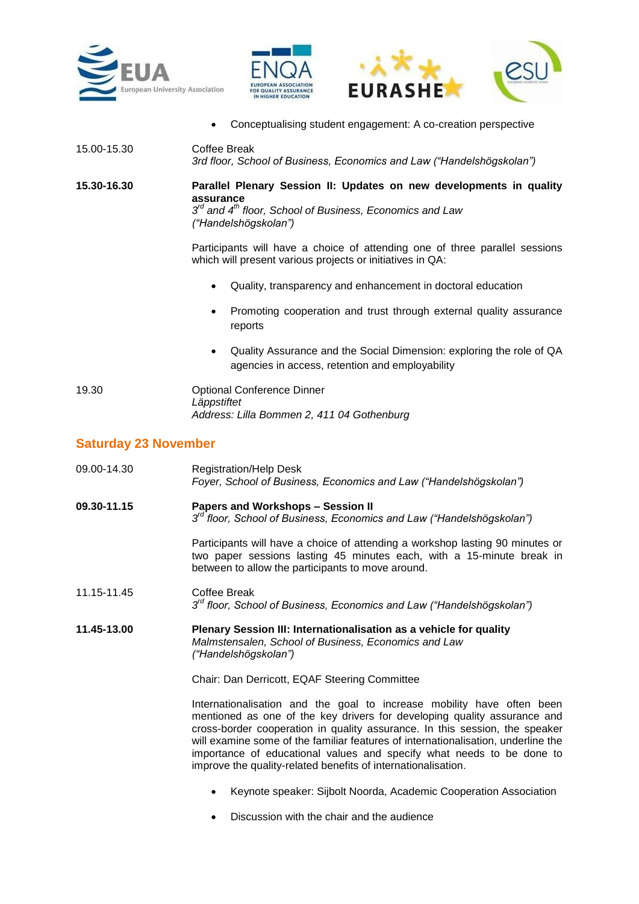



Conceptualising student engagement: A co-creation perspective

| 15.00-15.30 | Coffee Break<br>3rd floor, School of Business, Economics and Law ("Handelshögskolan")                                                                                    |
|-------------|--------------------------------------------------------------------------------------------------------------------------------------------------------------------------|
| 15.30-16.30 | Parallel Plenary Session II: Updates on new developments in quality<br>assurance<br>$3rd$ and $4th$ floor, School of Business, Economics and Law<br>("Handelshögskolan") |
|             | Participants will have a choice of attending one of three parallel sessions<br>which will present various projects or initiatives in QA:                                 |
|             | Quality, transparency and enhancement in doctoral education                                                                                                              |
|             | Promoting cooperation and trust through external quality assurance<br>reports                                                                                            |
|             | Quality Assurance and the Social Dimension: exploring the role of QA<br>٠<br>agencies in access, retention and employability                                             |
| 19.30       | <b>Optional Conference Dinner</b><br>Läppstiftet<br>Address: Lilla Bommen 2, 411 04 Gothenburg                                                                           |

### **Saturday 23 November**

- 09.00-14.30 Registration/Help Desk *Foyer, School of Business, Economics and Law ("Handelshögskolan")*
- **09.30-11.15 Papers and Workshops – Session II** *3 rd floor, School of Business, Economics and Law ("Handelshögskolan")*

Participants will have a choice of attending a workshop lasting 90 minutes or two paper sessions lasting 45 minutes each, with a 15-minute break in between to allow the participants to move around.

- 11.15-11.45 Coffee Break  $3<sup>rd</sup>$  *floor, School of Business, Economics and Law ("Handelshögskolan")*
- **11.45-13.00 Plenary Session III: Internationalisation as a vehicle for quality** *Malmstensalen, School of Business, Economics and Law ("Handelshögskolan")*

Chair: Dan Derricott, EQAF Steering Committee

Internationalisation and the goal to increase mobility have often been mentioned as one of the key drivers for developing quality assurance and cross-border cooperation in quality assurance. In this session, the speaker will examine some of the familiar features of internationalisation, underline the importance of educational values and specify what needs to be done to improve the quality-related benefits of internationalisation.

- Keynote speaker: Sijbolt Noorda, Academic Cooperation Association
- Discussion with the chair and the audience